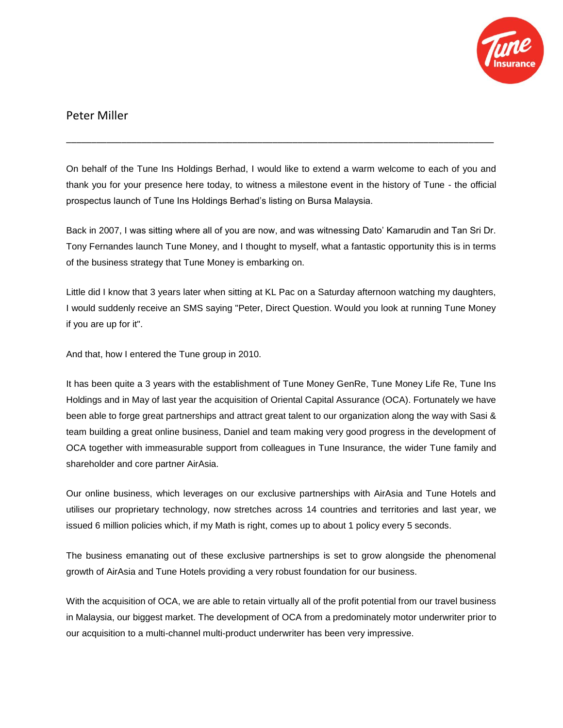

## Peter Miller

On behalf of the Tune Ins Holdings Berhad, I would like to extend a warm welcome to each of you and thank you for your presence here today, to witness a milestone event in the history of Tune - the official prospectus launch of Tune Ins Holdings Berhad's listing on Bursa Malaysia.

\_\_\_\_\_\_\_\_\_\_\_\_\_\_\_\_\_\_\_\_\_\_\_\_\_\_\_\_\_\_\_\_\_\_\_\_\_\_\_\_\_\_\_\_\_\_\_\_\_\_\_\_\_\_\_\_\_\_\_\_\_\_\_\_\_\_\_\_\_\_\_\_\_\_\_\_\_\_\_\_\_\_\_\_\_

Back in 2007, I was sitting where all of you are now, and was witnessing Dato' Kamarudin and Tan Sri Dr. Tony Fernandes launch Tune Money, and I thought to myself, what a fantastic opportunity this is in terms of the business strategy that Tune Money is embarking on.

Little did I know that 3 years later when sitting at KL Pac on a Saturday afternoon watching my daughters, I would suddenly receive an SMS saying "Peter, Direct Question. Would you look at running Tune Money if you are up for it".

And that, how I entered the Tune group in 2010.

It has been quite a 3 years with the establishment of Tune Money GenRe, Tune Money Life Re, Tune Ins Holdings and in May of last year the acquisition of Oriental Capital Assurance (OCA). Fortunately we have been able to forge great partnerships and attract great talent to our organization along the way with Sasi & team building a great online business, Daniel and team making very good progress in the development of OCA together with immeasurable support from colleagues in Tune Insurance, the wider Tune family and shareholder and core partner AirAsia.

Our online business, which leverages on our exclusive partnerships with AirAsia and Tune Hotels and utilises our proprietary technology, now stretches across 14 countries and territories and last year, we issued 6 million policies which, if my Math is right, comes up to about 1 policy every 5 seconds.

The business emanating out of these exclusive partnerships is set to grow alongside the phenomenal growth of AirAsia and Tune Hotels providing a very robust foundation for our business.

With the acquisition of OCA, we are able to retain virtually all of the profit potential from our travel business in Malaysia, our biggest market. The development of OCA from a predominately motor underwriter prior to our acquisition to a multi-channel multi-product underwriter has been very impressive.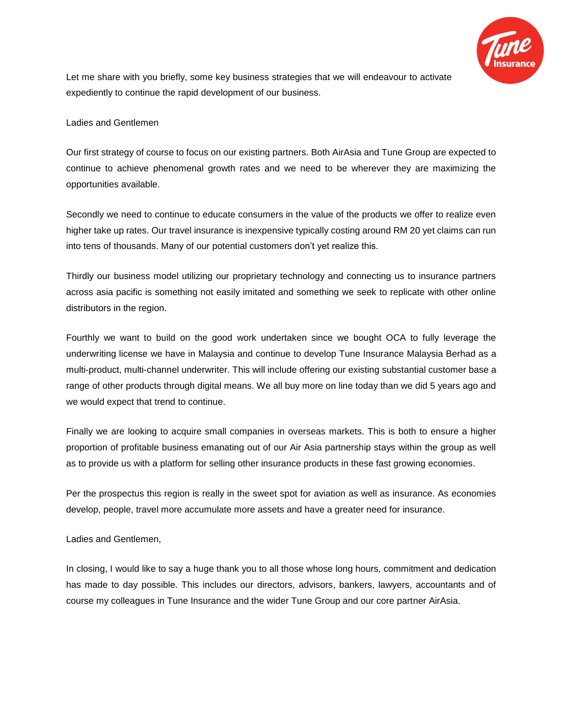

Let me share with you briefly, some key business strategies that we will endeavour to activate expediently to continue the rapid development of our business.

## Ladies and Gentlemen

Our first strategy of course to focus on our existing partners. Both AirAsia and Tune Group are expected to continue to achieve phenomenal growth rates and we need to be wherever they are maximizing the opportunities available.

Secondly we need to continue to educate consumers in the value of the products we offer to realize even higher take up rates. Our travel insurance is inexpensive typically costing around RM 20 yet claims can run into tens of thousands. Many of our potential customers don't yet realize this.

Thirdly our business model utilizing our proprietary technology and connecting us to insurance partners across asia pacific is something not easily imitated and something we seek to replicate with other online distributors in the region.

Fourthly we want to build on the good work undertaken since we bought OCA to fully leverage the underwriting license we have in Malaysia and continue to develop Tune Insurance Malaysia Berhad as a multi-product, multi-channel underwriter. This will include offering our existing substantial customer base a range of other products through digital means. We all buy more on line today than we did 5 years ago and we would expect that trend to continue.

Finally we are looking to acquire small companies in overseas markets. This is both to ensure a higher proportion of profitable business emanating out of our Air Asia partnership stays within the group as well as to provide us with a platform for selling other insurance products in these fast growing economies.

Per the prospectus this region is really in the sweet spot for aviation as well as insurance. As economies develop, people, travel more accumulate more assets and have a greater need for insurance.

## Ladies and Gentlemen,

In closing, I would like to say a huge thank you to all those whose long hours, commitment and dedication has made to day possible. This includes our directors, advisors, bankers, lawyers, accountants and of course my colleagues in Tune Insurance and the wider Tune Group and our core partner AirAsia.